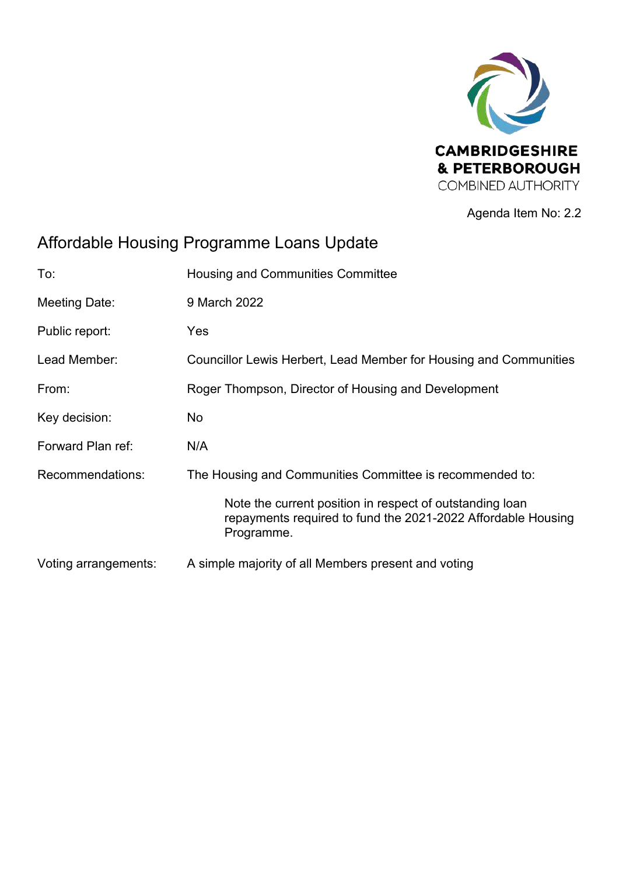

Agenda Item No: 2.2

# Affordable Housing Programme Loans Update

| To:                  | <b>Housing and Communities Committee</b>                                                                                               |  |  |  |
|----------------------|----------------------------------------------------------------------------------------------------------------------------------------|--|--|--|
| Meeting Date:        | 9 March 2022                                                                                                                           |  |  |  |
| Public report:       | Yes                                                                                                                                    |  |  |  |
| Lead Member:         | Councillor Lewis Herbert, Lead Member for Housing and Communities                                                                      |  |  |  |
| From:                | Roger Thompson, Director of Housing and Development                                                                                    |  |  |  |
| Key decision:        | No                                                                                                                                     |  |  |  |
| Forward Plan ref:    | N/A                                                                                                                                    |  |  |  |
| Recommendations:     | The Housing and Communities Committee is recommended to:                                                                               |  |  |  |
|                      | Note the current position in respect of outstanding loan<br>repayments required to fund the 2021-2022 Affordable Housing<br>Programme. |  |  |  |
| Voting arrangements: | A simple majority of all Members present and voting                                                                                    |  |  |  |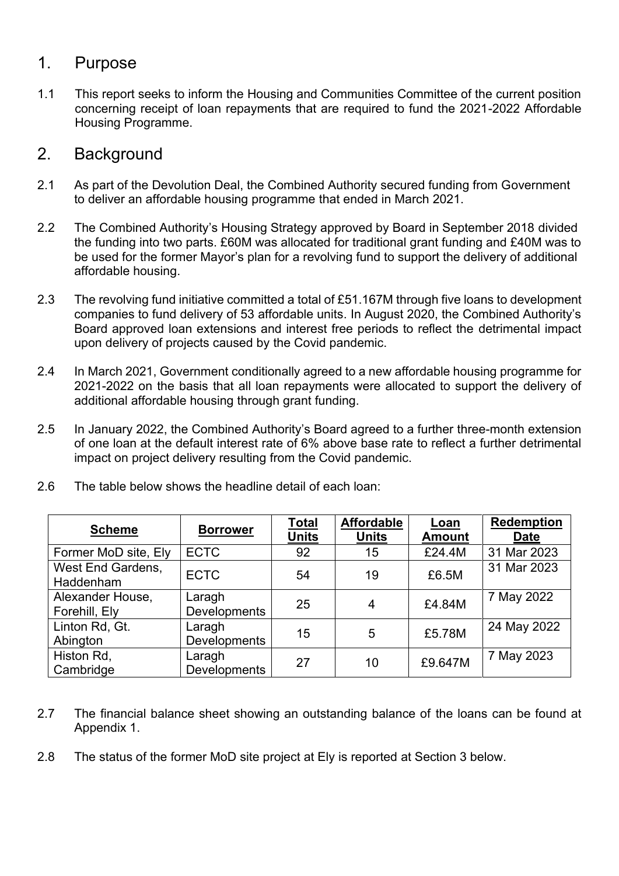### 1. Purpose

1.1 This report seeks to inform the Housing and Communities Committee of the current position concerning receipt of loan repayments that are required to fund the 2021-2022 Affordable Housing Programme.

# 2. Background

- 2.1 As part of the Devolution Deal, the Combined Authority secured funding from Government to deliver an affordable housing programme that ended in March 2021.
- 2.2 The Combined Authority's Housing Strategy approved by Board in September 2018 divided the funding into two parts. £60M was allocated for traditional grant funding and £40M was to be used for the former Mayor's plan for a revolving fund to support the delivery of additional affordable housing.
- 2.3 The revolving fund initiative committed a total of £51.167M through five loans to development companies to fund delivery of 53 affordable units. In August 2020, the Combined Authority's Board approved loan extensions and interest free periods to reflect the detrimental impact upon delivery of projects caused by the Covid pandemic.
- 2.4 In March 2021, Government conditionally agreed to a new affordable housing programme for 2021-2022 on the basis that all loan repayments were allocated to support the delivery of additional affordable housing through grant funding.
- 2.5 In January 2022, the Combined Authority's Board agreed to a further three-month extension of one loan at the default interest rate of 6% above base rate to reflect a further detrimental impact on project delivery resulting from the Covid pandemic.

| <b>Scheme</b>                     | <b>Borrower</b>               | <b>Total</b><br><b>Units</b> | <b>Affordable</b><br><b>Units</b> | Loan<br><b>Amount</b> | Redemption<br><b>Date</b> |
|-----------------------------------|-------------------------------|------------------------------|-----------------------------------|-----------------------|---------------------------|
| Former MoD site, Ely              | <b>ECTC</b>                   | 92                           | 15                                | £24.4M                | 31 Mar 2023               |
| West End Gardens,<br>Haddenham    | <b>ECTC</b>                   | 54                           | 19                                | £6.5M                 | 31 Mar 2023               |
| Alexander House,<br>Forehill, Ely | Laragh<br>Developments        | 25                           | 4                                 | £4.84M                | 7 May 2022                |
| Linton Rd, Gt.<br>Abington        | Laragh<br><b>Developments</b> | 15                           | 5                                 | £5.78M                | 24 May 2022               |
| Histon Rd,<br>Cambridge           | Laragh<br><b>Developments</b> | 27                           | 10                                | £9.647M               | 7 May 2023                |

2.6 The table below shows the headline detail of each loan:

- 2.7 The financial balance sheet showing an outstanding balance of the loans can be found at Appendix 1.
- 2.8 The status of the former MoD site project at Ely is reported at Section 3 below.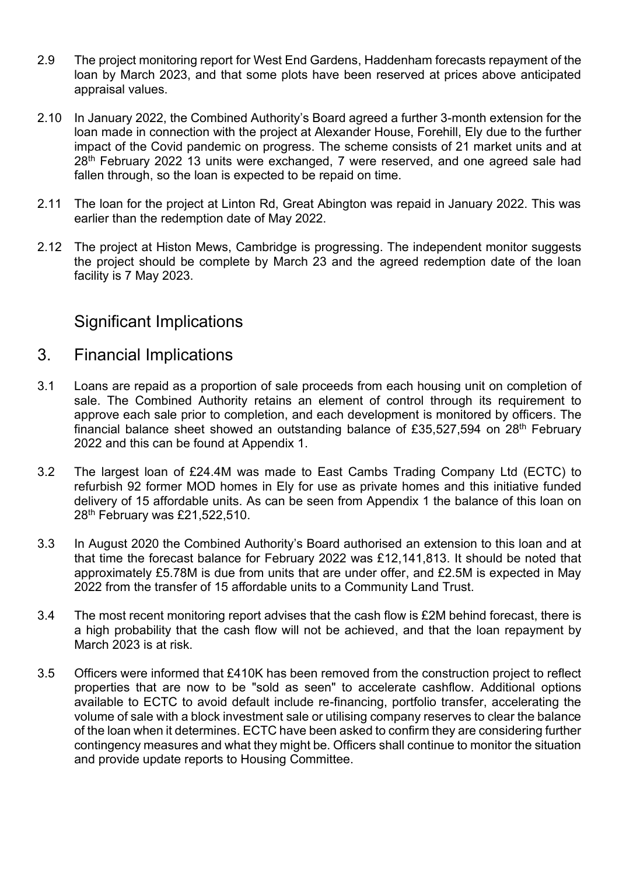- 2.9 The project monitoring report for West End Gardens, Haddenham forecasts repayment of the loan by March 2023, and that some plots have been reserved at prices above anticipated appraisal values.
- 2.10 In January 2022, the Combined Authority's Board agreed a further 3-month extension for the loan made in connection with the project at Alexander House, Forehill, Ely due to the further impact of the Covid pandemic on progress. The scheme consists of 21 market units and at  $28<sup>th</sup>$  February 2022 13 units were exchanged, 7 were reserved, and one agreed sale had fallen through, so the loan is expected to be repaid on time.
- 2.11 The loan for the project at Linton Rd, Great Abington was repaid in January 2022. This was earlier than the redemption date of May 2022.
- 2.12 The project at Histon Mews, Cambridge is progressing. The independent monitor suggests the project should be complete by March 23 and the agreed redemption date of the loan facility is 7 May 2023.

# Significant Implications

- 3. Financial Implications
- 3.1 Loans are repaid as a proportion of sale proceeds from each housing unit on completion of sale. The Combined Authority retains an element of control through its requirement to approve each sale prior to completion, and each development is monitored by officers. The financial balance sheet showed an outstanding balance of £35,527,594 on 28<sup>th</sup> February 2022 and this can be found at Appendix 1.
- 3.2 The largest loan of £24.4M was made to East Cambs Trading Company Ltd (ECTC) to refurbish 92 former MOD homes in Ely for use as private homes and this initiative funded delivery of 15 affordable units. As can be seen from Appendix 1 the balance of this loan on 28th February was £21,522,510.
- 3.3 In August 2020 the Combined Authority's Board authorised an extension to this loan and at that time the forecast balance for February 2022 was £12,141,813. It should be noted that approximately £5.78M is due from units that are under offer, and £2.5M is expected in May 2022 from the transfer of 15 affordable units to a Community Land Trust.
- 3.4 The most recent monitoring report advises that the cash flow is £2M behind forecast, there is a high probability that the cash flow will not be achieved, and that the loan repayment by March 2023 is at risk.
- 3.5 Officers were informed that £410K has been removed from the construction project to reflect properties that are now to be "sold as seen" to accelerate cashflow. Additional options available to ECTC to avoid default include re-financing, portfolio transfer, accelerating the volume of sale with a block investment sale or utilising company reserves to clear the balance of the loan when it determines. ECTC have been asked to confirm they are considering further contingency measures and what they might be. Officers shall continue to monitor the situation and provide update reports to Housing Committee.